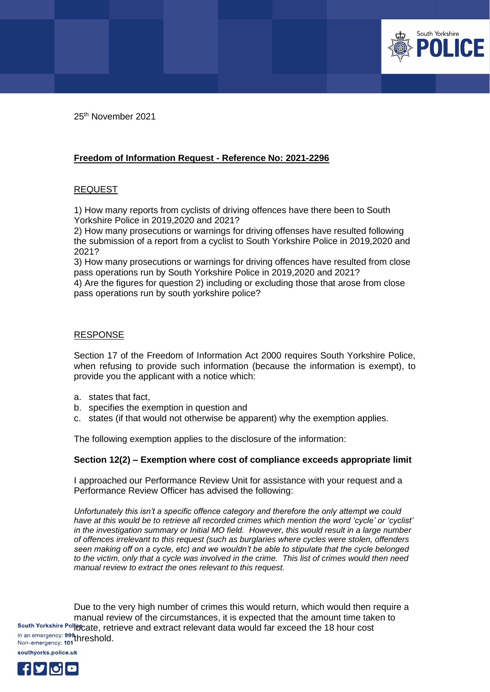

25th November 2021

## **Freedom of Information Request - Reference No: 2021-2296**

## **REQUEST**

1) How many reports from cyclists of driving offences have there been to South Yorkshire Police in 2019,2020 and 2021?

2) How many prosecutions or warnings for driving offenses have resulted following the submission of a report from a cyclist to South Yorkshire Police in 2019,2020 and 2021?

3) How many prosecutions or warnings for driving offences have resulted from close pass operations run by South Yorkshire Police in 2019,2020 and 2021?

4) Are the figures for question 2) including or excluding those that arose from close pass operations run by south yorkshire police?

## RESPONSE

Section 17 of the Freedom of Information Act 2000 requires South Yorkshire Police, when refusing to provide such information (because the information is exempt), to provide you the applicant with a notice which:

- a. states that fact,
- b. specifies the exemption in question and
- c. states (if that would not otherwise be apparent) why the exemption applies.

The following exemption applies to the disclosure of the information:

## **Section 12(2) – Exemption where cost of compliance exceeds appropriate limit**

I approached our Performance Review Unit for assistance with your request and a Performance Review Officer has advised the following:

*Unfortunately this isn't a specific offence category and therefore the only attempt we could have at this would be to retrieve all recorded crimes which mention the word 'cycle' or 'cyclist' in the investigation summary or Initial MO field. However, this would result in a large number of offences irrelevant to this request (such as burglaries where cycles were stolen, offenders seen making off on a cycle, etc) and we wouldn't be able to stipulate that the cycle belonged to the victim, only that a cycle was involved in the crime. This list of crimes would then need manual review to extract the ones relevant to this request.*

Due to the very high number of crimes this would return, which would then require a manual review of the circumstances, it is expected that the amount time taken to South Yorkshire Policcate, retrieve and extract relevant data would far exceed the 18 hour cost In an emergency: 999 threshold.<br>Non-emergency: 101 threshold.

southyorks.police.uk